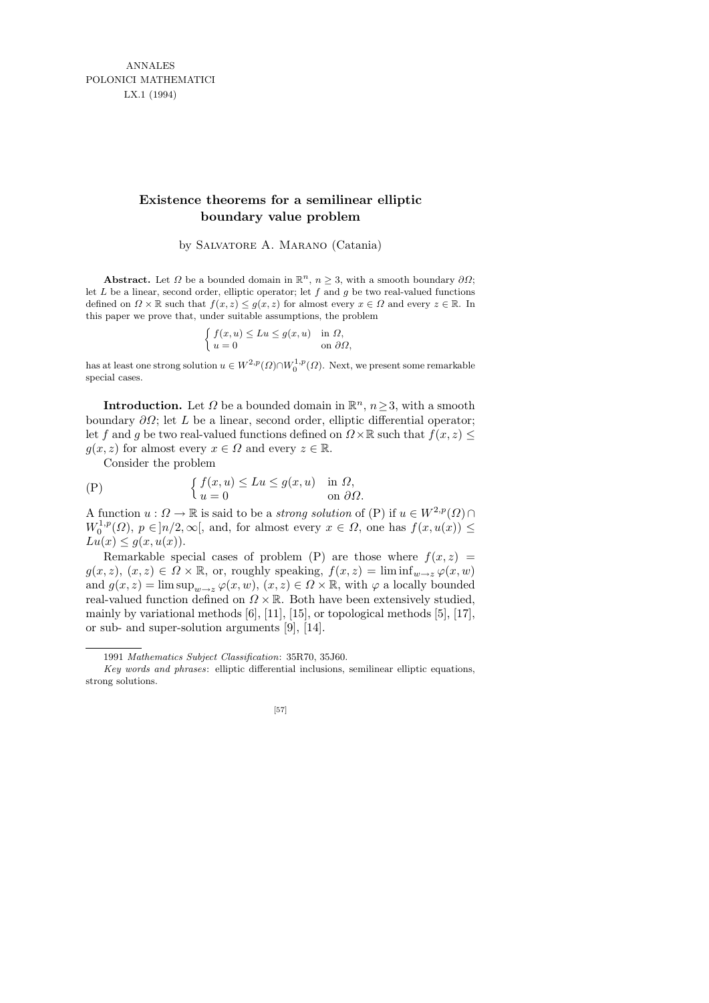ANNALES POLONICI MATHEMATICI LX.1 (1994)

## **Existence theorems for a semilinear elliptic boundary value problem**

by Salvatore A. Marano (Catania)

**Abstract.** Let  $\Omega$  be a bounded domain in  $\mathbb{R}^n$ ,  $n \geq 3$ , with a smooth boundary  $\partial\Omega$ ; let  $L$  be a linear, second order, elliptic operator; let  $f$  and  $g$  be two real-valued functions defined on  $\Omega \times \mathbb{R}$  such that  $f(x, z) \leq g(x, z)$  for almost every  $x \in \Omega$  and every  $z \in \mathbb{R}$ . In this paper we prove that, under suitable assumptions, the problem

$$
\begin{cases} f(x,u) \le Lu \le g(x,u) & \text{in } \Omega, \\ u = 0 & \text{on } \partial\Omega, \end{cases}
$$

has at least one strong solution  $u \in W^{2,p}(\Omega) \cap W_0^{1,p}(\Omega)$ . Next, we present some remarkable special cases.

**Introduction.** Let  $\Omega$  be a bounded domain in  $\mathbb{R}^n$ ,  $n \geq 3$ , with a smooth boundary  $\partial\Omega$ ; let L be a linear, second order, elliptic differential operator; let f and g be two real-valued functions defined on  $\Omega \times \mathbb{R}$  such that  $f(x, z) \leq$  $g(x, z)$  for almost every  $x \in \Omega$  and every  $z \in \mathbb{R}$ .

Consider the problem

(P) 
$$
\begin{cases} f(x,u) \le Lu \le g(x,u) & \text{in } \Omega, \\ u = 0 & \text{on } \partial\Omega. \end{cases}
$$

A function  $u : \Omega \to \mathbb{R}$  is said to be a *strong solution* of (P) if  $u \in W^{2,p}(\Omega) \cap$  $W_0^{1,p}$  $C_0^{1,p}(\Omega)$ ,  $p \in ]n/2,\infty[$ , and, for almost every  $x \in \Omega$ , one has  $f(x,u(x)) \leq$  $Lu(x) \leq g(x, u(x)).$ 

Remarkable special cases of problem (P) are those where  $f(x, z) =$  $g(x, z), (x, z) \in \Omega \times \mathbb{R}$ , or, roughly speaking,  $f(x, z) = \liminf_{w \to z} \varphi(x, w)$ and  $g(x, z) = \limsup_{w \to z} \varphi(x, w), (x, z) \in \Omega \times \mathbb{R}$ , with  $\varphi$  a locally bounded real-valued function defined on  $\Omega \times \mathbb{R}$ . Both have been extensively studied, mainly by variational methods [6], [11], [15], or topological methods [5], [17], or sub- and super-solution arguments [9], [14].

*Key words and phrases*: elliptic differential inclusions, semilinear elliptic equations, strong solutions.



<sup>1991</sup> *Mathematics Subject Classification*: 35R70, 35J60.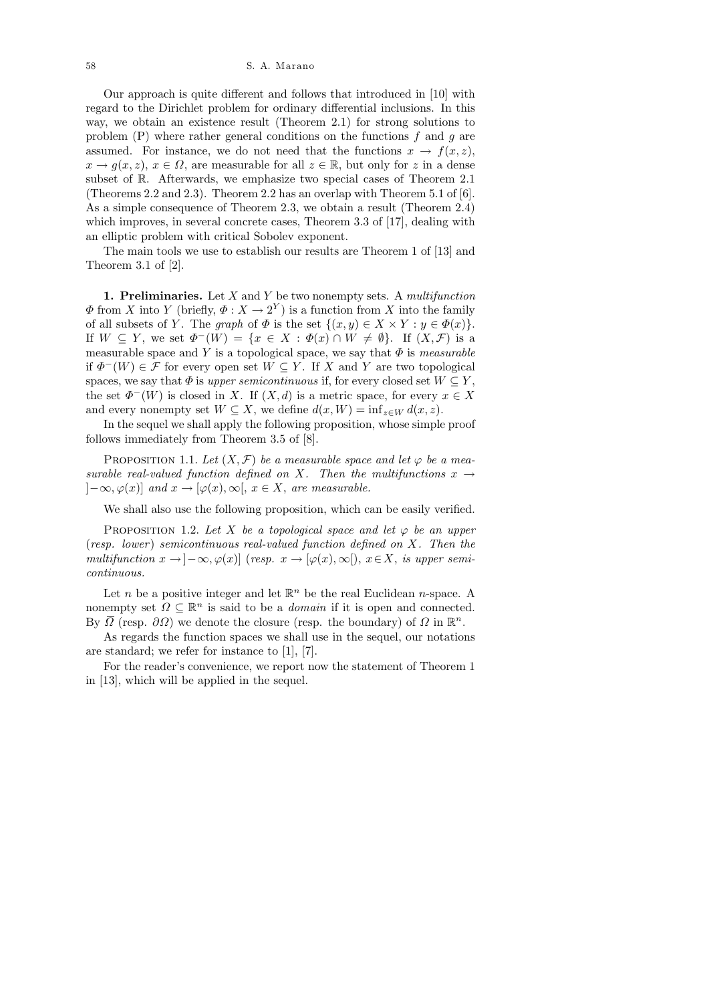58 S. A. Marano

Our approach is quite different and follows that introduced in [10] with regard to the Dirichlet problem for ordinary differential inclusions. In this way, we obtain an existence result (Theorem 2.1) for strong solutions to problem  $(P)$  where rather general conditions on the functions f and g are assumed. For instance, we do not need that the functions  $x \to f(x, z)$ ,  $x \to g(x, z)$ ,  $x \in \Omega$ , are measurable for all  $z \in \mathbb{R}$ , but only for z in a dense subset of R. Afterwards, we emphasize two special cases of Theorem 2.1 (Theorems 2.2 and 2.3). Theorem 2.2 has an overlap with Theorem 5.1 of [6]. As a simple consequence of Theorem 2.3, we obtain a result (Theorem 2.4) which improves, in several concrete cases, Theorem 3.3 of [17], dealing with an elliptic problem with critical Sobolev exponent.

The main tools we use to establish our results are Theorem 1 of [13] and Theorem 3.1 of [2].

**1. Preliminaries.** Let  $X$  and  $Y$  be two nonempty sets. A *multifunction*  $\Phi$  from X into Y (briefly,  $\Phi: X \to 2^Y$ ) is a function from X into the family of all subsets of Y. The graph of  $\Phi$  is the set  $\{(x, y) \in X \times Y : y \in \Phi(x)\}.$ If  $W \subseteq Y$ , we set  $\Phi^{-}(W) = \{x \in X : \Phi(x) \cap W \neq \emptyset\}$ . If  $(X, \mathcal{F})$  is a measurable space and Y is a topological space, we say that  $\Phi$  is measurable if  $\Phi^{-}(W) \in \mathcal{F}$  for every open set  $W \subseteq Y$ . If X and Y are two topological spaces, we say that  $\Phi$  is upper semicontinuous if, for every closed set  $W \subseteq Y$ , the set  $\Phi^{-}(W)$  is closed in X. If  $(X,d)$  is a metric space, for every  $x \in X$ and every nonempty set  $W \subseteq X$ , we define  $d(x, W) = \inf_{z \in W} d(x, z)$ .

In the sequel we shall apply the following proposition, whose simple proof follows immediately from Theorem 3.5 of [8].

PROPOSITION 1.1. Let  $(X, \mathcal{F})$  be a measurable space and let  $\varphi$  be a measurable real-valued function defined on X. Then the multifunctions  $x \rightarrow$  $[-\infty, \varphi(x)]$  and  $x \to [\varphi(x), \infty], x \in X$ , are measurable.

We shall also use the following proposition, which can be easily verified.

PROPOSITION 1.2. Let X be a topological space and let  $\varphi$  be an upper (resp. lower) semicontinuous real-valued function defined on  $X$ . Then the multifunction  $x \to [-\infty, \varphi(x)]$  (resp.  $x \to [\varphi(x), \infty]$ ),  $x \in X$ , is upper semicontinuous.

Let *n* be a positive integer and let  $\mathbb{R}^n$  be the real Euclidean *n*-space. A nonempty set  $\Omega \subseteq \mathbb{R}^n$  is said to be a *domain* if it is open and connected. By  $\overline{\Omega}$  (resp.  $\partial\Omega$ ) we denote the closure (resp. the boundary) of  $\Omega$  in  $\mathbb{R}^n$ .

As regards the function spaces we shall use in the sequel, our notations are standard; we refer for instance to [1], [7].

For the reader's convenience, we report now the statement of Theorem 1 in [13], which will be applied in the sequel.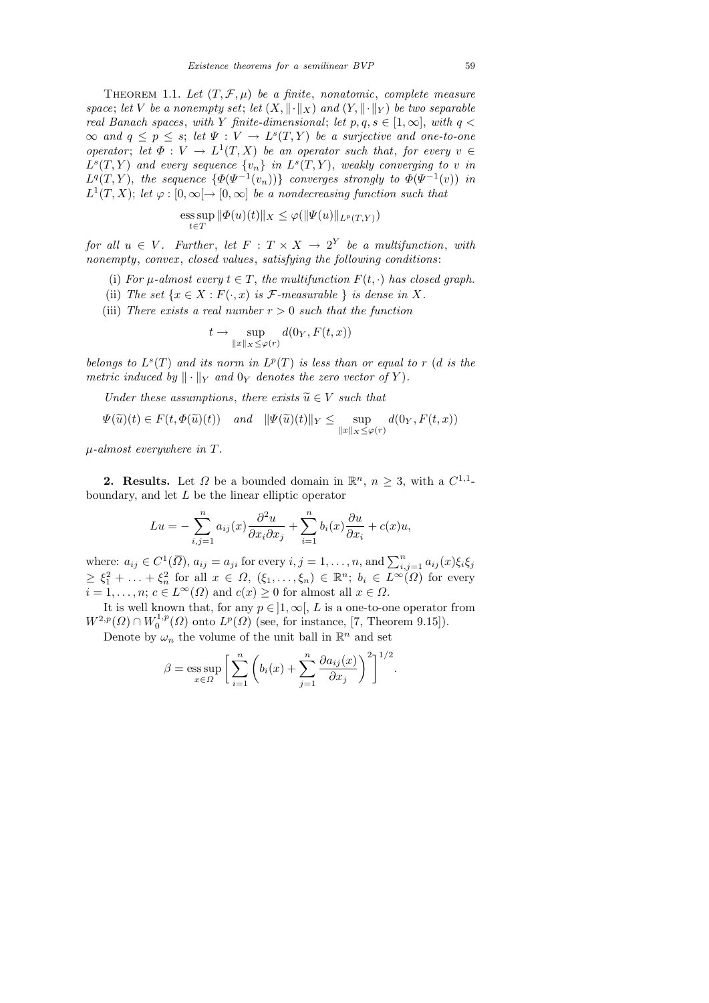THEOREM 1.1. Let  $(T, \mathcal{F}, \mu)$  be a finite, nonatomic, complete measure space; let V be a nonempty set; let  $(X, \|\cdot\|_X)$  and  $(Y, \|\cdot\|_Y)$  be two separable real Banach spaces, with Y finite-dimensional; let  $p, q, s \in [1, \infty]$ , with  $q <$  $\infty$  and  $q \leq p \leq s$ ; let  $\Psi : V \to L^{s}(T, Y)$  be a surjective and one-to-one operator; let  $\Phi: V \to L^1(T,X)$  be an operator such that, for every  $v \in$  $L^s(T,Y)$  and every sequence  $\{v_n\}$  in  $L^s(T,Y)$ , weakly converging to v in  $L^q(T,Y)$ , the sequence  $\{\Phi(\Psi^{-1}(v_n))\}$  converges strongly to  $\Phi(\Psi^{-1}(v))$  in  $L^1(T, X)$ ; let  $\varphi : [0, \infty] \to [0, \infty]$  be a nondecreasing function such that

ess sup 
$$
\|\Phi(u)(t)\|_X \leq \varphi(\|\Psi(u)\|_{L^p(T,Y)})
$$

for all  $u \in V$ . Further, let  $F : T \times X \rightarrow 2^Y$  be a multifunction, with  $nonempty, convex, closed values, satisfying the following conditions:\n$ 

- (i) For  $\mu$ -almost every  $t \in T$ , the multifunction  $F(t, \cdot)$  has closed graph.
- (ii) The set  $\{x \in X : F(\cdot, x)$  is  $\mathcal{F}\text{-}measurable}$  is dense in X.
- (iii) There exists a real number  $r > 0$  such that the function

$$
t \to \sup_{\|x\|_X \le \varphi(r)} d(0_Y, F(t, x))
$$

belongs to  $L^s(T)$  and its norm in  $L^p(T)$  is less than or equal to r (d is the metric induced by  $\|\cdot\|_Y$  and  $0_Y$  denotes the zero vector of Y).

Under these assumptions, there exists  $\widetilde{u} \in V$  such that

$$
\Psi(\widetilde{u})(t) \in F(t, \Phi(\widetilde{u})(t)) \quad and \quad \|\Psi(\widetilde{u})(t)\|_{Y} \le \sup_{\|x\|_{X} \le \varphi(r)} d(0_{Y}, F(t, x))
$$

 $\mu$ -almost everywhere in T.

**2. Results.** Let  $\Omega$  be a bounded domain in  $\mathbb{R}^n$ ,  $n \geq 3$ , with a  $C^{1,1}$ boundary, and let  $L$  be the linear elliptic operator

$$
Lu = -\sum_{i,j=1}^{n} a_{ij}(x) \frac{\partial^2 u}{\partial x_i \partial x_j} + \sum_{i=1}^{n} b_i(x) \frac{\partial u}{\partial x_i} + c(x)u,
$$

where:  $a_{ij} \in C^1(\overline{\Omega})$ ,  $a_{ij} = a_{ji}$  for every  $i, j = 1, \ldots, n$ , and  $\sum_{i,j=1}^n a_{ij}(x)\xi_i\xi_j$  $\geq \xi_1^2 + \ldots + \xi_n^2$  for all  $x \in \Omega$ ,  $(\xi_1, \ldots, \xi_n) \in \mathbb{R}^n$ ;  $b_i \in L^{\infty}(\Omega)$  for every  $i = 1, \ldots, n$ ;  $c \in L^{\infty}(\Omega)$  and  $c(x) \geq 0$  for almost all  $x \in \Omega$ .

It is well known that, for any  $p \in ]1,\infty[, L$  is a one-to-one operator from  $W^{2,p}(\Omega)\cap W^{1,p}_0$  $L^1,p(\Omega)$  onto  $L^p(\Omega)$  (see, for instance, [7, Theorem 9.15]).

Denote by  $\omega_n$  the volume of the unit ball in  $\mathbb{R}^n$  and set

$$
\beta = \operatorname*{ess\,sup}_{x \in \Omega} \left[ \sum_{i=1}^{n} \left( b_i(x) + \sum_{j=1}^{n} \frac{\partial a_{ij}(x)}{\partial x_j} \right)^2 \right]^{1/2}.
$$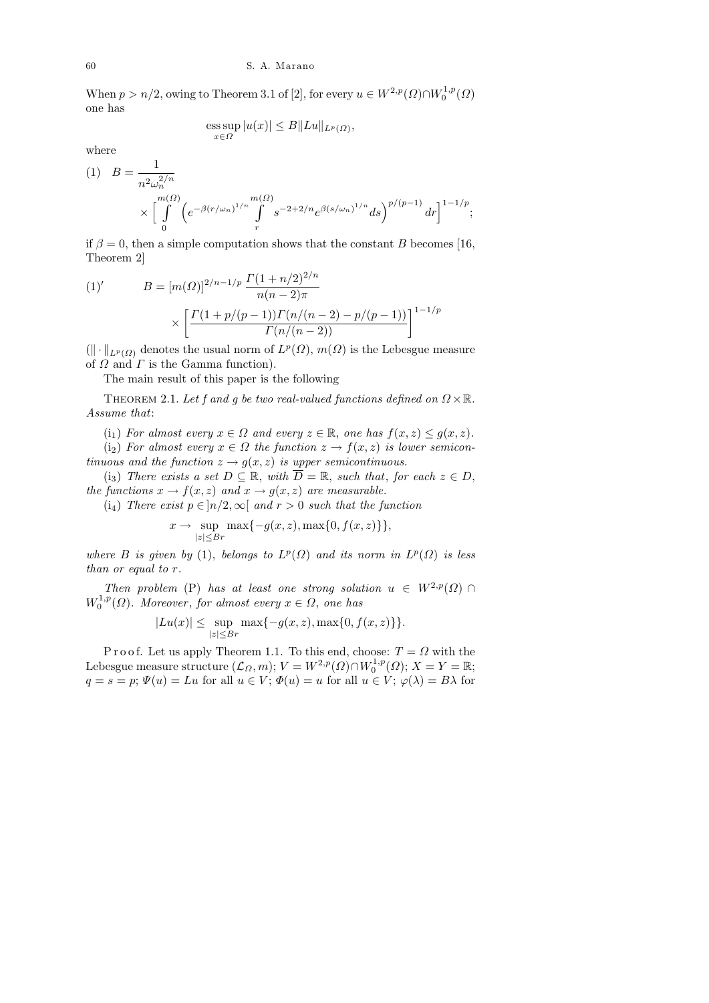When  $p > n/2$ , owing to Theorem 3.1 of [2], for every  $u \in W^{2,p}(\Omega) \cap W^{1,p}_0$  $\binom{1,p}{0}$ one has

$$
\operatorname{ess} \sup_{x \in \Omega} |u(x)| \leq B \|Lu\|_{L^p(\Omega)},
$$

where

1

$$
(1) \quad B = \frac{1}{n^2 \omega_n^{2/n}} \times \left[ \int_0^{m(\Omega)} \left( e^{-\beta (r/\omega_n)^{1/n}} \int_r^{m(\Omega)} s^{-2+2/n} e^{\beta (s/\omega_n)^{1/n}} ds \right)^{p/(p-1)} dr \right]^{1-1/p};
$$

if  $\beta = 0$ , then a simple computation shows that the constant B becomes [16, Theorem 2]

(1)' 
$$
B = [m(\Omega)]^{2/n-1/p} \frac{\Gamma(1+n/2)^{2/n}}{n(n-2)\pi}
$$

$$
\times \left[ \frac{\Gamma(1+p/(p-1))\Gamma(n/(n-2)-p/(p-1))}{\Gamma(n/(n-2))} \right]^{1-1/p}
$$

 $(\|\cdot\|_{L^p(\Omega)}$  denotes the usual norm of  $L^p(\Omega)$ ,  $m(\Omega)$  is the Lebesgue measure of  $\Omega$  and  $\Gamma$  is the Gamma function).

The main result of this paper is the following

THEOREM 2.1. Let f and g be two real-valued functions defined on  $\Omega \times \mathbb{R}$ . Assume that:

(i<sub>1</sub>) For almost every  $x \in \Omega$  and every  $z \in \mathbb{R}$ , one has  $f(x, z) \leq g(x, z)$ .

(i<sub>2</sub>) For almost every  $x \in \Omega$  the function  $z \to f(x, z)$  is lower semicontinuous and the function  $z \to g(x, z)$  is upper semicontinuous.

(i<sub>3</sub>) There exists a set  $D \subseteq \mathbb{R}$ , with  $\overline{D} = \mathbb{R}$ , such that, for each  $z \in D$ , the functions  $x \to f(x, z)$  and  $x \to g(x, z)$  are measurable.

(i<sub>4</sub>) There exist  $p \in \vert n/2, \infty \vert$  and  $r > 0$  such that the function

$$
x \to \sup_{|z| \le Br} \max\{-g(x, z), \max\{0, f(x, z)\}\},\
$$

where B is given by (1), belongs to  $L^p(\Omega)$  and its norm in  $L^p(\Omega)$  is less than or equal to r.

Then problem (P) has at least one strong solution  $u \in W^{2,p}(\Omega) \cap$  $W_0^{1,p}$  $\mathcal{O}_0^{1,p}(\Omega)$ . Moreover, for almost every  $x \in \Omega$ , one has

$$
|Lu(x)| \le \sup_{|z| \le Br} \max\{-g(x, z), \max\{0, f(x, z)\}\}.
$$

P r o o f. Let us apply Theorem 1.1. To this end, choose:  $T = \Omega$  with the Lebesgue measure structure  $(\mathcal{L}_{\Omega}, m); V = W^{2,p}(\Omega) \cap W_0^{1,p}$  $C_0^{1,p}(\Omega); X = Y = \mathbb{R};$  $q = s = p$ ;  $\Psi(u) = Lu$  for all  $u \in V$ ;  $\Phi(u) = u$  for all  $u \in V$ ;  $\varphi(\lambda) = B\lambda$  for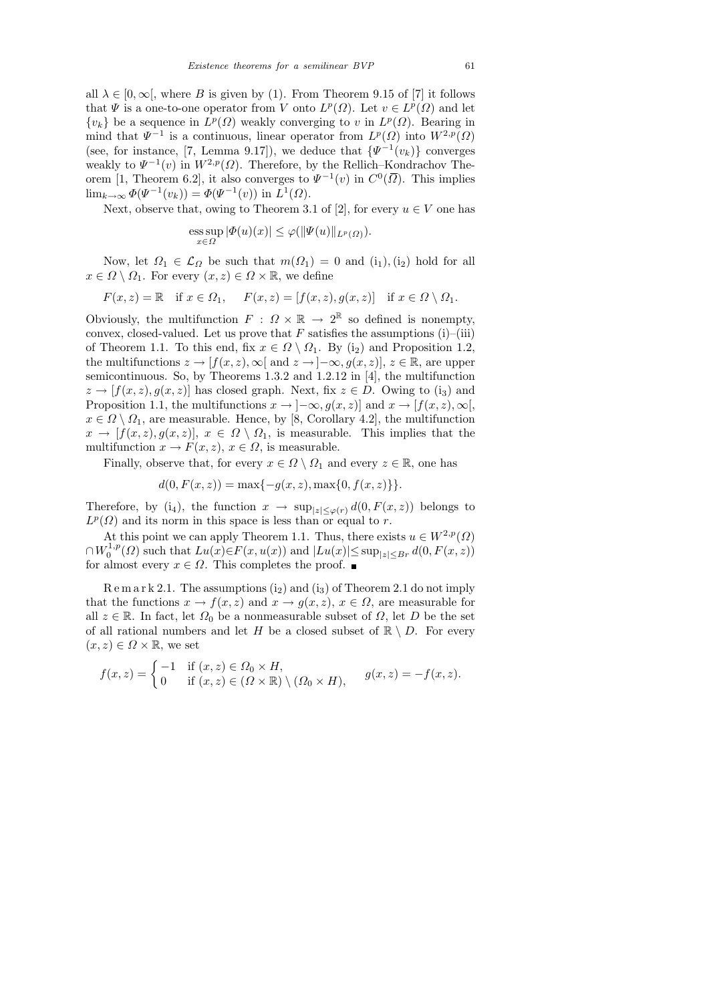all  $\lambda \in [0, \infty]$ , where B is given by (1). From Theorem 9.15 of [7] it follows that  $\Psi$  is a one-to-one operator from V onto  $L^p(\Omega)$ . Let  $v \in L^p(\Omega)$  and let  $\{v_k\}$  be a sequence in  $L^p(\Omega)$  weakly converging to v in  $L^p(\Omega)$ . Bearing in mind that  $\Psi^{-1}$  is a continuous, linear operator from  $L^p(\Omega)$  into  $W^{2,p}(\Omega)$ (see, for instance, [7, Lemma 9.17]), we deduce that  $\{\Psi^{-1}(v_k)\}\)$  converges weakly to  $\Psi^{-1}(v)$  in  $W^{2,p}(\Omega)$ . Therefore, by the Rellich–Kondrachov Theorem [1, Theorem 6.2], it also converges to  $\Psi^{-1}(v)$  in  $C^0(\overline{\Omega})$ . This implies  $\lim_{k\to\infty}\Phi(\Psi^{-1}(v_k))=\Phi(\Psi^{-1}(v))$  in  $L^1(\Omega)$ .

Next, observe that, owing to Theorem 3.1 of [2], for every  $u \in V$  one has

ess sup 
$$
|\Phi(u)(x)| \leq \varphi(||\Psi(u)||_{L^p(\Omega)})
$$
.

Now, let  $\Omega_1 \in \mathcal{L}_{\Omega}$  be such that  $m(\Omega_1) = 0$  and  $(i_1), (i_2)$  hold for all  $x \in \Omega \setminus \Omega_1$ . For every  $(x, z) \in \Omega \times \mathbb{R}$ , we define

$$
F(x, z) = \mathbb{R} \quad \text{if } x \in \Omega_1, \quad F(x, z) = [f(x, z), g(x, z)] \quad \text{if } x \in \Omega \setminus \Omega_1.
$$

Obviously, the multifunction  $F: \Omega \times \mathbb{R} \to 2^{\mathbb{R}}$  so defined is nonempty, convex, closed-valued. Let us prove that  $F$  satisfies the assumptions (i)–(iii) of Theorem 1.1. To this end, fix  $x \in \Omega \setminus \Omega_1$ . By (i<sub>2</sub>) and Proposition 1.2, the multifunctions  $z \to [f(x, z), \infty]$  and  $z \to [-\infty, g(x, z)]$ ,  $z \in \mathbb{R}$ , are upper semicontinuous. So, by Theorems 1.3.2 and 1.2.12 in [4], the multifunction  $z \to [f(x, z), q(x, z)]$  has closed graph. Next, fix  $z \in D$ . Owing to (i<sub>3</sub>) and Proposition 1.1, the multifunctions  $x \to [-\infty, g(x, z)]$  and  $x \to [f(x, z), \infty],$  $x \in \Omega \setminus \Omega_1$ , are measurable. Hence, by [8, Corollary 4.2], the multifunction  $x \to [f(x, z), g(x, z)], x \in \Omega \setminus \Omega_1$ , is measurable. This implies that the multifunction  $x \to F(x, z)$ ,  $x \in \Omega$ , is measurable.

Finally, observe that, for every  $x \in \Omega \setminus \Omega_1$  and every  $z \in \mathbb{R}$ , one has

$$
d(0, F(x, z)) = \max\{-g(x, z), \max\{0, f(x, z)\}\}.
$$

Therefore, by (i<sub>4</sub>), the function  $x \to \sup_{|z| \leq \varphi(r)} d(0, F(x, z))$  belongs to  $L^p(\Omega)$  and its norm in this space is less than or equal to r.

At this point we can apply Theorem 1.1. Thus, there exists  $u \in W^{2,p}(\Omega)$  $\cap W^{1,p}_0$  $\mathcal{L}^{1,p}(\Omega)$  such that  $Lu(x) \in F(x, u(x))$  and  $|Lu(x)| \leq \sup_{|z| \leq Br} d(0, F(x, z))$ for almost every  $x \in \Omega$ . This completes the proof.  $\blacksquare$ 

 $R \text{ e m a r k 2.1.}$  The assumptions  $(i_2)$  and  $(i_3)$  of Theorem 2.1 do not imply that the functions  $x \to f(x, z)$  and  $x \to g(x, z)$ ,  $x \in \Omega$ , are measurable for all  $z \in \mathbb{R}$ . In fact, let  $\Omega_0$  be a nonmeasurable subset of  $\Omega$ , let D be the set of all rational numbers and let H be a closed subset of  $\mathbb{R} \setminus D$ . For every  $(x, z) \in \Omega \times \mathbb{R}$ , we set

$$
f(x, z) = \begin{cases} -1 & \text{if } (x, z) \in \Omega_0 \times H, \\ 0 & \text{if } (x, z) \in (\Omega \times \mathbb{R}) \setminus (\Omega_0 \times H), \end{cases} \qquad g(x, z) = -f(x, z).
$$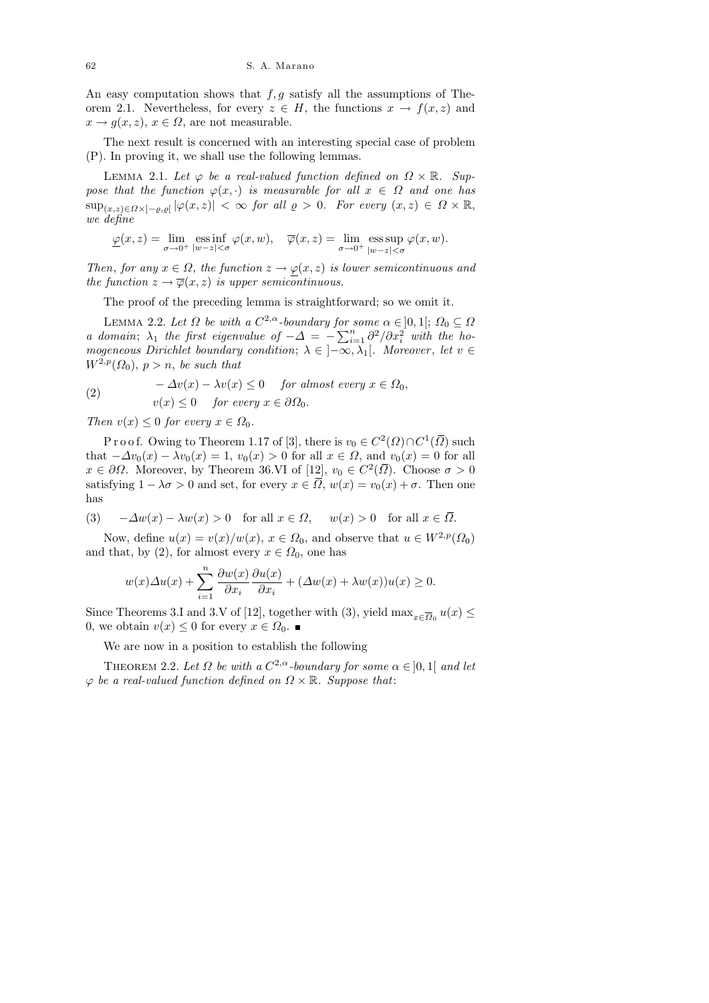An easy computation shows that  $f, g$  satisfy all the assumptions of Theorem 2.1. Nevertheless, for every  $z \in H$ , the functions  $x \to f(x, z)$  and  $x \to g(x, z)$ ,  $x \in \Omega$ , are not measurable.

The next result is concerned with an interesting special case of problem (P). In proving it, we shall use the following lemmas.

LEMMA 2.1. Let  $\varphi$  be a real-valued function defined on  $\Omega \times \mathbb{R}$ . Suppose that the function  $\varphi(x, \cdot)$  is measurable for all  $x \in \Omega$  and one has  $\sup_{(x,z)\in\Omega\times[-\varrho,\varrho[}|\varphi(x,z)|]<\infty$  for all  $\varrho>0$ . For every  $(x,z)\in\Omega\times\mathbb{R},$ we define

$$
\underline{\varphi}(x,z) = \lim_{\sigma \to 0^+} \operatorname*{ess\,inf}_{|w-z| < \sigma} \varphi(x,w), \quad \overline{\varphi}(x,z) = \lim_{\sigma \to 0^+} \operatorname*{ess\,sup}_{|w-z| < \sigma} \varphi(x,w).
$$

Then, for any  $x \in \Omega$ , the function  $z \to \varphi(x, z)$  is lower semicontinuous and the function  $z \to \overline{\varphi}(x, z)$  is upper semicontinuous.

The proof of the preceding lemma is straightforward; so we omit it.

LEMMA 2.2. Let  $\Omega$  be with a  $C^{2,\alpha}$ -boundary for some  $\alpha \in ]0,1[; \Omega_0 \subseteq \Omega]$ a domain;  $\lambda_1$  the first eigenvalue of  $-\Delta = -\sum_{i=1}^n \frac{\partial^2}{\partial x_i^2}$  with the homogeneous Dirichlet boundary condition;  $\lambda \in ]-\infty, \lambda_1[$ . Moreover, let  $v \in$  $W^{2,p}(\Omega_0)$ ,  $p > n$ , be such that

(2) 
$$
-\Delta v(x) - \lambda v(x) \le 0 \quad \text{for almost every } x \in \Omega_0,
$$

$$
v(x) \le 0 \quad \text{for every } x \in \partial\Omega_0.
$$

Then  $v(x) \leq 0$  for every  $x \in \Omega_0$ .

Proof. Owing to Theorem 1.17 of [3], there is  $v_0 \in C^2(\Omega) \cap C^1(\overline{\Omega})$  such that  $-\Delta v_0(x) - \lambda v_0(x) = 1$ ,  $v_0(x) > 0$  for all  $x \in \Omega$ , and  $v_0(x) = 0$  for all  $x \in \partial\Omega$ . Moreover, by Theorem 36.VI of [12],  $v_0 \in C^2(\overline{\Omega})$ . Choose  $\sigma > 0$ satisfying  $1 - \lambda \sigma > 0$  and set, for every  $x \in \overline{\Omega}$ ,  $w(x) = v_0(x) + \sigma$ . Then one has

(3)  $-\Delta w(x) - \lambda w(x) > 0$  for all  $x \in \Omega$ ,  $w(x) > 0$  for all  $x \in \overline{\Omega}$ .

Now, define  $u(x) = v(x)/w(x)$ ,  $x \in \Omega_0$ , and observe that  $u \in W^{2,p}(\Omega_0)$ and that, by (2), for almost every  $x \in \Omega_0$ , one has

$$
w(x)\Delta u(x) + \sum_{i=1}^{n} \frac{\partial w(x)}{\partial x_i} \frac{\partial u(x)}{\partial x_i} + (\Delta w(x) + \lambda w(x))u(x) \ge 0.
$$

Since Theorems 3.I and 3.V of [12], together with (3), yield  $\max_{x \in \overline{\Omega}_0} u(x) \le$ 0, we obtain  $v(x) \leq 0$  for every  $x \in \Omega_0$ .

We are now in a position to establish the following

THEOREM 2.2. Let  $\Omega$  be with a  $C^{2,\alpha}$ -boundary for some  $\alpha \in ]0,1[$  and let  $\varphi$  be a real-valued function defined on  $\Omega \times \mathbb{R}$ . Suppose that: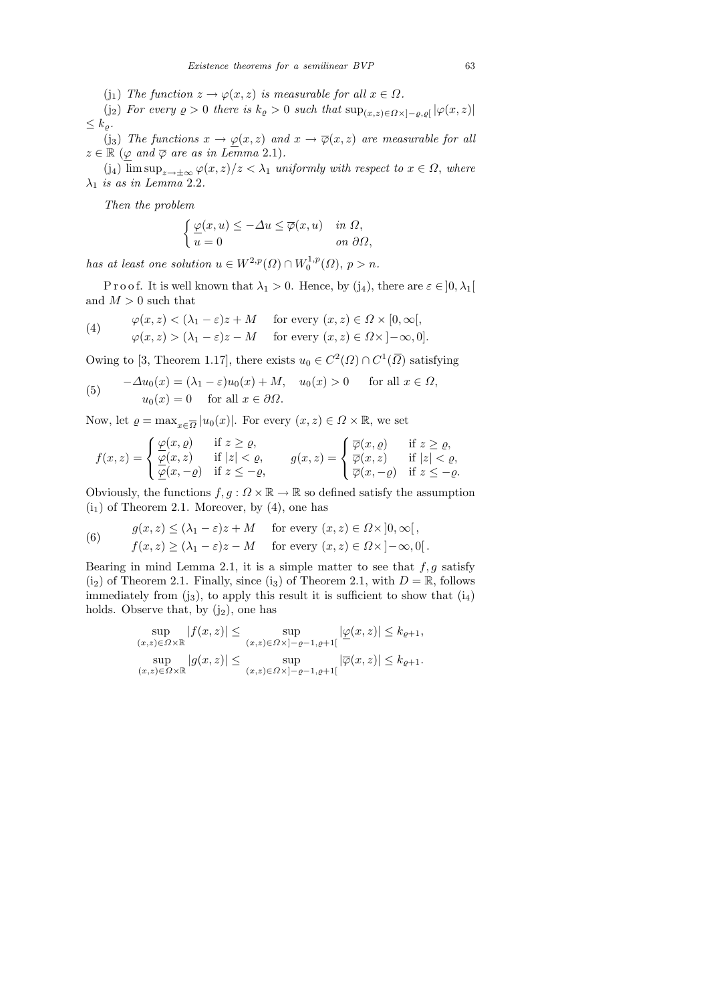(j<sub>1</sub>) The function  $z \to \varphi(x, z)$  is measurable for all  $x \in \Omega$ .

(j<sub>2</sub>) For every  $\rho > 0$  there is  $k_{\varrho} > 0$  such that  $\sup_{(x,z) \in \Omega \times ]-\varrho, \varrho[} |\varphi(x, z)|$  $\leq k_{\rho}$ .

(j<sub>3</sub>) The functions  $x \to \underline{\varphi}(x, z)$  and  $x \to \overline{\varphi}(x, z)$  are measurable for all  $z \in \mathbb{R}$  ( $\varphi$  and  $\overline{\varphi}$  are as in Lemma 2.1).

 $(j_4)$   $\overline{\limsup}_{z\to\pm\infty} \varphi(x,z)/z < \lambda_1$  uniformly with respect to  $x \in \Omega$ , where  $\lambda_1$  is as in Lemma 2.2.

Then the problem

$$
\begin{cases} \underline{\varphi}(x,u) \leq -\varDelta u \leq \overline{\varphi}(x,u) & \text{ in } \varOmega, \\ u = 0 & \text{ on } \partial \varOmega, \end{cases}
$$

has at least one solution  $u \in W^{2,p}(\Omega) \cap W_0^{1,p}$  $C^{1,p}_0(\Omega), p > n.$ 

P r o o f. It is well known that  $\lambda_1 > 0$ . Hence, by  $(j_4)$ , there are  $\varepsilon \in ]0, \lambda_1[$ and  $M > 0$  such that

(4) 
$$
\varphi(x, z) < (\lambda_1 - \varepsilon)z + M \quad \text{for every } (x, z) \in \Omega \times [0, \infty[,
$$
\n
$$
\varphi(x, z) > (\lambda_1 - \varepsilon)z - M \quad \text{for every } (x, z) \in \Omega \times ]-\infty, 0].
$$

Owing to [3, Theorem 1.17], there exists  $u_0 \in C^2(\Omega) \cap C^1(\overline{\Omega})$  satisfying

(5) 
$$
-\Delta u_0(x) = (\lambda_1 - \varepsilon)u_0(x) + M, \quad u_0(x) > 0 \quad \text{for all } x \in \Omega,
$$

$$
u_0(x) = 0 \quad \text{for all } x \in \partial\Omega.
$$

Now, let  $\varrho = \max_{x \in \overline{\Omega}} |u_0(x)|$ . For every  $(x, z) \in \Omega \times \mathbb{R}$ , we set

$$
f(x, z) = \begin{cases} \frac{\varphi(x, \varrho)}{\varphi(x, z)} & \text{if } z \ge \varrho, \\ \frac{\varphi(x, z)}{\varphi(x, -\varrho)} & \text{if } z \le -\varrho, \end{cases} \qquad g(x, z) = \begin{cases} \overline{\varphi}(x, \varrho) & \text{if } z \ge \varrho, \\ \overline{\varphi}(x, z) & \text{if } |z| < \varrho, \\ \overline{\varphi}(x, -\varrho) & \text{if } z \le -\varrho. \end{cases}
$$

Obviously, the functions  $f, g : \Omega \times \mathbb{R} \to \mathbb{R}$  so defined satisfy the assumption  $(i<sub>1</sub>)$  of Theorem 2.1. Moreover, by  $(4)$ , one has

(6) 
$$
g(x, z) \le (\lambda_1 - \varepsilon)z + M \quad \text{for every } (x, z) \in \Omega \times ]0, \infty[,
$$

$$
f(x, z) \ge (\lambda_1 - \varepsilon)z - M \quad \text{for every } (x, z) \in \Omega \times ]-\infty, 0[.
$$

Bearing in mind Lemma 2.1, it is a simple matter to see that  $f, g$  satisfy  $(i_2)$  of Theorem 2.1. Finally, since  $(i_3)$  of Theorem 2.1, with  $D = \mathbb{R}$ , follows immediately from  $(j_3)$ , to apply this result it is sufficient to show that  $(i_4)$ holds. Observe that, by  $(j_2)$ , one has

$$
\sup_{(x,z)\in\Omega\times\mathbb{R}}|f(x,z)| \le \sup_{(x,z)\in\Omega\times]-\varrho-1,\varrho+1[}|\underline{\varphi}(x,z)| \le k_{\varrho+1},
$$
  
\n
$$
\sup_{(x,z)\in\Omega\times\mathbb{R}}|g(x,z)| \le \sup_{(x,z)\in\Omega\times]-\varrho-1,\varrho+1[}|\overline{\varphi}(x,z)| \le k_{\varrho+1}.
$$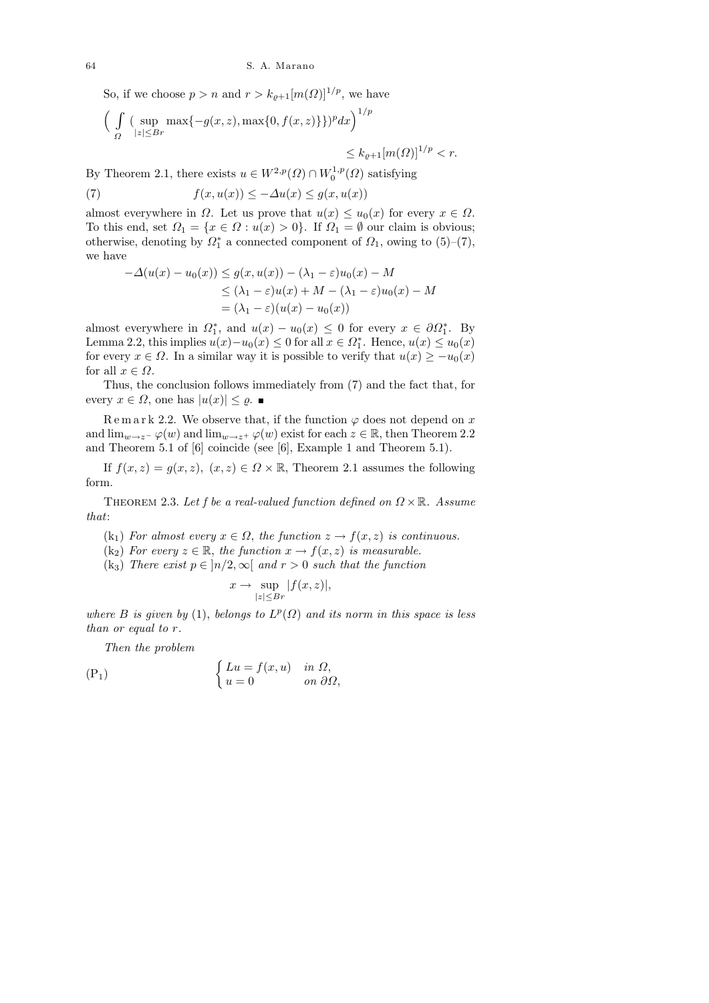64 S. A. Marano

So, if we choose  $p > n$  and  $r > k_{\varrho+1}[m(\varOmega)]^{1/p}$ , we have

$$
\left(\int_{\Omega} (\sup_{|z| \le Br} \max\{-g(x, z), \max\{0, f(x, z)\}\})^p dx \right)^{1/p}
$$
  

$$
\le k_{\varrho+1} [m(\varOmega)]^{1/p} < r.
$$

By Theorem 2.1, there exists  $u \in W^{2,p}(\Omega) \cap W_0^{1,p}$  $\binom{1,p}{0}$  satisfying

(7) 
$$
f(x, u(x)) \leq -\Delta u(x) \leq g(x, u(x))
$$

almost everywhere in  $\Omega$ . Let us prove that  $u(x) \leq u_0(x)$  for every  $x \in \Omega$ . To this end, set  $\Omega_1 = \{x \in \Omega : u(x) > 0\}$ . If  $\Omega_1 = \emptyset$  our claim is obvious; otherwise, denoting by  $\Omega_1^*$  a connected component of  $\Omega_1$ , owing to  $(5)-(7)$ , we have

$$
-\Delta(u(x) - u_0(x)) \le g(x, u(x)) - (\lambda_1 - \varepsilon)u_0(x) - M
$$
  
\n
$$
\le (\lambda_1 - \varepsilon)u(x) + M - (\lambda_1 - \varepsilon)u_0(x) - M
$$
  
\n
$$
= (\lambda_1 - \varepsilon)(u(x) - u_0(x))
$$

almost everywhere in  $\Omega_1^*$ , and  $u(x) - u_0(x) \leq 0$  for every  $x \in \partial \Omega_1^*$ . By Lemma 2.2, this implies  $u(x) - u_0(x) \leq 0$  for all  $x \in \Omega_1^*$ . Hence,  $u(x) \leq u_0(x)$ for every  $x \in \Omega$ . In a similar way it is possible to verify that  $u(x) \geq -u_0(x)$ for all  $x \in \Omega$ .

Thus, the conclusion follows immediately from (7) and the fact that, for every  $x \in \Omega$ , one has  $|u(x)| \leq \varrho$ .

Remark 2.2. We observe that, if the function  $\varphi$  does not depend on x and  $\lim_{w\to z^-} \varphi(w)$  and  $\lim_{w\to z^+} \varphi(w)$  exist for each  $z \in \mathbb{R}$ , then Theorem 2.2 and Theorem 5.1 of [6] coincide (see [6], Example 1 and Theorem 5.1).

If  $f(x, z) = g(x, z)$ ,  $(x, z) \in \Omega \times \mathbb{R}$ , Theorem 2.1 assumes the following form.

THEOREM 2.3. Let f be a real-valued function defined on  $\Omega \times \mathbb{R}$ . Assume that:

(k<sub>1</sub>) For almost every  $x \in \Omega$ , the function  $z \to f(x, z)$  is continuous.

(k<sub>2</sub>) For every  $z \in \mathbb{R}$ , the function  $x \to f(x, z)$  is measurable.

(k<sub>3</sub>) There exist  $p \in \vert n/2, \infty \vert$  and  $r > 0$  such that the function

$$
x \to \sup_{|z| \le Br} |f(x, z)|,
$$

where B is given by (1), belongs to  $L^p(\Omega)$  and its norm in this space is less than or equal to r.

Then the problem

$$
\begin{cases}\n\text{L}u = f(x, u) & \text{in } \Omega, \\
u = 0 & \text{on } \partial\Omega,\n\end{cases}
$$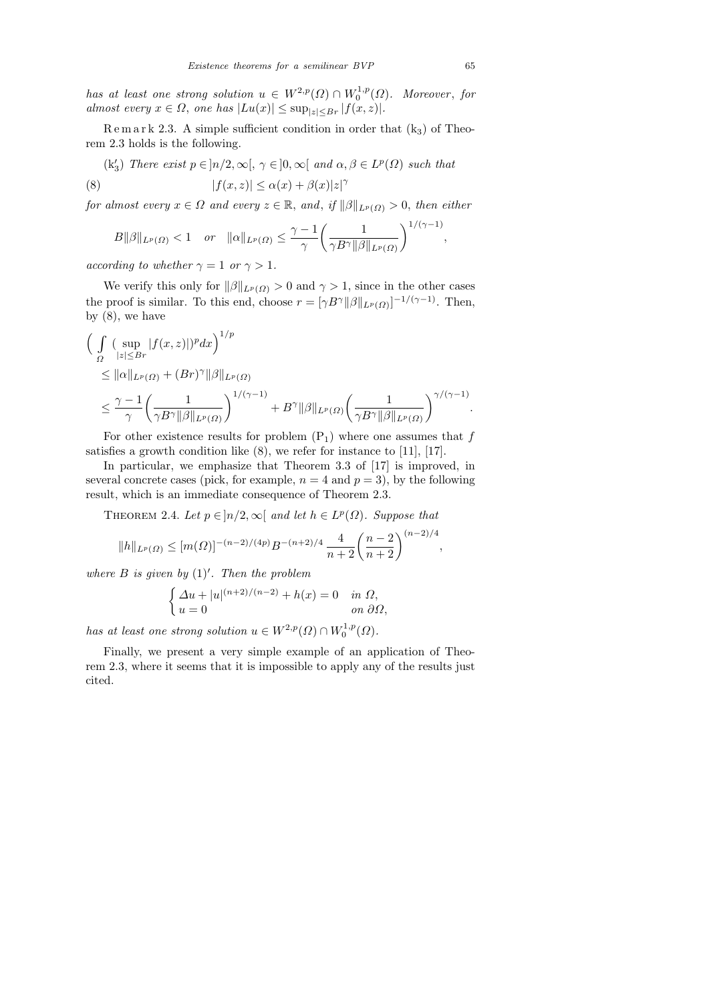has at least one strong solution  $u \in W^{2,p}(\Omega) \cap W_0^{1,p}$  $\chi_0^{1,p}(\Omega)$ . Moreover, for almost every  $x \in \Omega$ , one has  $|Lu(x)| \leq \sup_{|z| \leq B_r} |f(x, z)|$ .

 $R$  e m a r k 2.3. A simple sufficient condition in order that  $(k_3)$  of Theorem 2.3 holds is the following.

\n- (k'\_3) There exist 
$$
p \in ]n/2, \infty[, \gamma \in ]0, \infty[
$$
 and  $\alpha, \beta \in L^p(\Omega)$  such that
\n- (8)  $|f(x, z)| \leq \alpha(x) + \beta(x)|z|^\gamma$
\n

for almost every  $x \in \Omega$  and every  $z \in \mathbb{R}$ , and, if  $||\beta||_{L^p(\Omega)} > 0$ , then either

$$
B\|\beta\|_{L^p(\Omega)} < 1 \quad \text{or} \quad \|\alpha\|_{L^p(\Omega)} \le \frac{\gamma - 1}{\gamma} \left(\frac{1}{\gamma B^\gamma \|\beta\|_{L^p(\Omega)}}\right)^{1/(\gamma - 1)}
$$

according to whether  $\gamma = 1$  or  $\gamma > 1$ .

We verify this only for  $\|\beta\|_{L^p(\Omega)} > 0$  and  $\gamma > 1$ , since in the other cases the proof is similar. To this end, choose  $r = [\gamma B^{\gamma} || \beta ||_{L^p(\Omega)}]^{-1/(\gamma-1)}$ . Then, by  $(8)$ , we have

$$
\left(\int_{\Omega} \left(\sup_{|z| \le Br} |f(x,z)|)^p dx\right)^{1/p} \le \|\alpha\|_{L^p(\Omega)} + (Br)^{\gamma} \|\beta\|_{L^p(\Omega)} \le \frac{\gamma - 1}{\gamma} \left(\frac{1}{\gamma B^{\gamma} \|\beta\|_{L^p(\Omega)}}\right)^{1/(\gamma - 1)} + B^{\gamma} \|\beta\|_{L^p(\Omega)} \left(\frac{1}{\gamma B^{\gamma} \|\beta\|_{L^p(\Omega)}}\right)^{\gamma/(\gamma - 1)}.
$$

For other existence results for problem  $(P_1)$  where one assumes that f satisfies a growth condition like (8), we refer for instance to [11], [17].

In particular, we emphasize that Theorem 3.3 of [17] is improved, in several concrete cases (pick, for example,  $n = 4$  and  $p = 3$ ), by the following result, which is an immediate consequence of Theorem 2.3.

THEOREM 2.4. Let  $p \in |n/2, \infty|$  and let  $h \in L^p(\Omega)$ . Suppose that

$$
||h||_{L^{p}(\Omega)} \leq [m(\Omega)]^{-(n-2)/(4p)} B^{-(n+2)/4} \frac{4}{n+2} \left(\frac{n-2}{n+2}\right)^{(n-2)/4}
$$

where  $B$  is given by  $(1)'$ . Then the problem

$$
\begin{cases} \Delta u + |u|^{(n+2)/(n-2)} + h(x) = 0 & \text{in } \Omega, \\ u = 0 & \text{on } \partial\Omega, \end{cases}
$$

has at least one strong solution  $u \in W^{2,p}(\Omega) \cap W^{1,p}_0$  $\binom{1,p}{0}$  ( $\Omega$ ).

Finally, we present a very simple example of an application of Theorem 2.3, where it seems that it is impossible to apply any of the results just cited.

,

,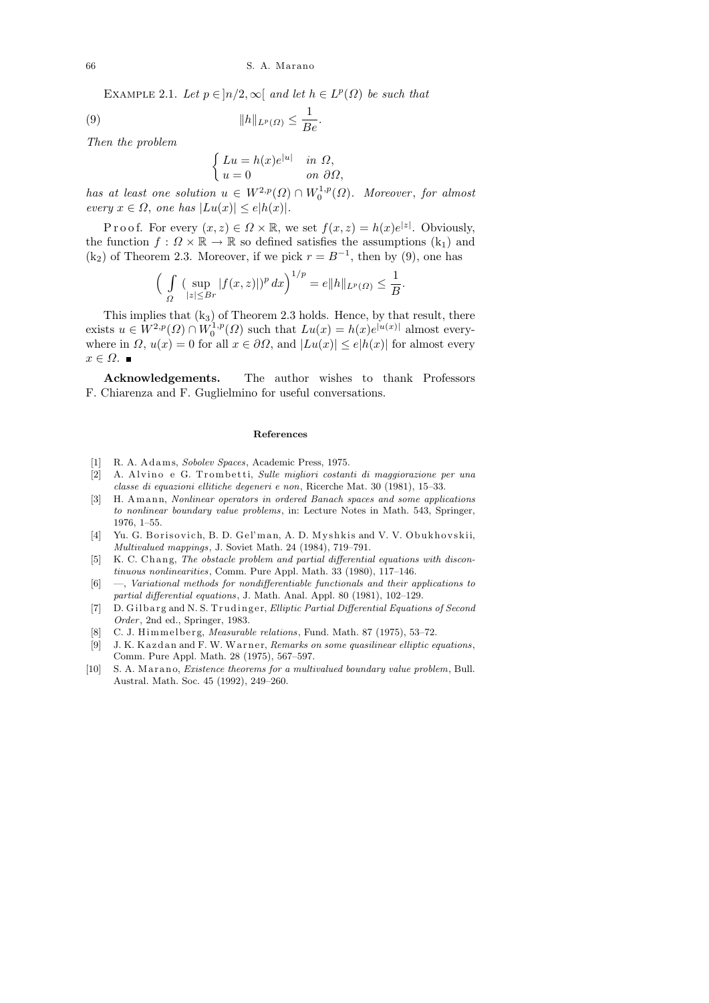66 S. A. Marano

EXAMPLE 2.1. Let  $p \in \ ]n/2, \infty[$  and let  $h \in L^p(\Omega)$  be such that

(9) khkLp(Ω) ≤ 1 Be .

Then the problem

$$
\begin{cases} Lu = h(x)e^{|u|} & \text{in } \Omega, \\ u = 0 & \text{on } \partial\Omega, \end{cases}
$$

has at least one solution  $u \in W^{2,p}(\Omega) \cap W_0^{1,p}$  $\mathcal{O}_0^{1,p}(\Omega)$ . Moreover, for almost every  $x \in \Omega$ , one has  $|Lu(x)| \leq e|h(x)|$ .

P r o o f. For every  $(x, z) \in \Omega \times \mathbb{R}$ , we set  $f(x, z) = h(x)e^{|z|}$ . Obviously, the function  $f: \Omega \times \mathbb{R} \to \mathbb{R}$  so defined satisfies the assumptions  $(k_1)$  and  $(k_2)$  of Theorem 2.3. Moreover, if we pick  $r = B^{-1}$ , then by (9), one has

$$
\left(\int_{\Omega} \left(\sup_{|z| \leq Br} |f(x,z)|\right)^p dx\right)^{1/p} = e||h||_{L^p(\Omega)} \leq \frac{1}{B}.
$$

This implies that  $(k_3)$  of Theorem 2.3 holds. Hence, by that result, there exists  $u \in W^{2,p}(\Omega) \cap W_0^{1,p}$  $L_0^{1,p}(\Omega)$  such that  $Lu(x) = h(x)e^{|u(x)|}$  almost everywhere in  $\Omega$ ,  $u(x) = 0$  for all  $x \in \partial \Omega$ , and  $|Lu(x)| \le e|h(x)|$  for almost every  $x \in \Omega$ .

Acknowledgements. The author wishes to thank Professors F. Chiarenza and F. Guglielmino for useful conversations.

## **References**

- [1] R. A. A d am s, *Sobolev Spaces*, Academic Press, 1975.
- [2] A. Al vi n o e G. T r om b e t ti, *Sulle migliori costanti di maggiorazione per una classe di equazioni ellitiche degeneri e non*, Ricerche Mat. 30 (1981), 15–33.
- [3] H. Amann, *Nonlinear operators in ordered Banach spaces and some applications to nonlinear boundary value problems*, in: Lecture Notes in Math. 543, Springer, 1976, 1–55.
- [4] Yu. G. Borisovich, B. D. Gel'man, A. D. Myshkis and V. V. Obukhovskii, *Multivalued mappings*, J. Soviet Math. 24 (1984), 719–791.
- [5] K. C. Chang, *The obstacle problem and partial differential equations with discontinuous nonlinearities*, Comm. Pure Appl. Math. 33 (1980), 117–146.
- [6] —, *Variational methods for nondifferentiable functionals and their applications to partial differential equations*, J. Math. Anal. Appl. 80 (1981), 102–129.
- [7] D. Gilbarg and N. S. Trudinger, *Elliptic Partial Differential Equations of Second Order*, 2nd ed., Springer, 1983.
- [8] C. J. Himmelberg, *Measurable relations*, Fund. Math. 87 (1975), 53-72.
- [9] J. K. Kazdan and F. W. Warner, *Remarks on some quasilinear elliptic equations*, Comm. Pure Appl. Math. 28 (1975), 567–597.
- [10] S. A. Marano, *Existence theorems for a multivalued boundary value problem*, Bull. Austral. Math. Soc. 45 (1992), 249–260.